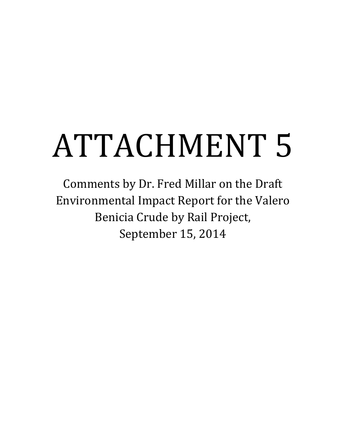# ATTACHMENT 5

Comments by Dr. Fred Millar on the Draft Environmental Impact Report for the Valero Benicia Crude by Rail Project, September 15, 2014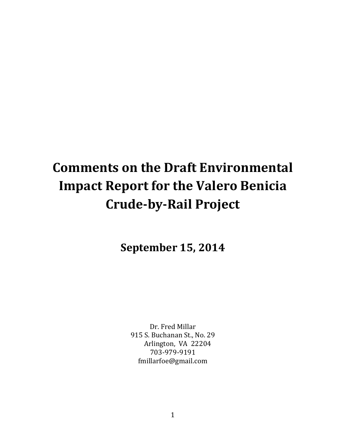# **Comments on the Draft Environmental Impact Report for the Valero Benicia Crude-by-Rail Project**

**September 15, 2014**

Dr. Fred Millar 915 S. Buchanan St., No. 29 Arlington, VA 22204 703-979-9191 fmillarfoe@gmail.com

1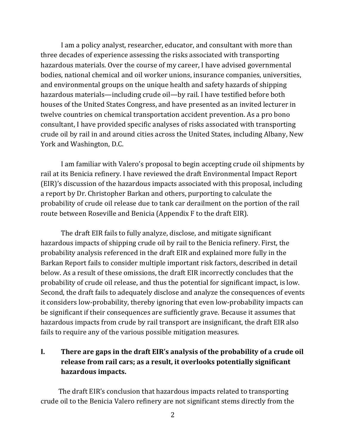I am a policy analyst, researcher, educator, and consultant with more than three decades of experience assessing the risks associated with transporting hazardous materials. Over the course of my career, I have advised governmental bodies, national chemical and oil worker unions, insurance companies, universities, and environmental groups on the unique health and safety hazards of shipping hazardous materials—including crude oil—by rail. I have testified before both houses of the United States Congress, and have presented as an invited lecturer in twelve countries on chemical transportation accident prevention. As a pro bono consultant, I have provided specific analyses of risks associated with transporting crude oil by rail in and around cities across the United States, including Albany, New York and Washington, D.C.

I am familiar with Valero's proposal to begin accepting crude oil shipments by rail at its Benicia refinery. I have reviewed the draft Environmental Impact Report (EIR)'s discussion of the hazardous impacts associated with this proposal, including a report by Dr. Christopher Barkan and others, purporting to calculate the probability of crude oil release due to tank car derailment on the portion of the rail route between Roseville and Benicia (Appendix F to the draft EIR).

The draft EIR fails to fully analyze, disclose, and mitigate significant hazardous impacts of shipping crude oil by rail to the Benicia refinery. First, the probability analysis referenced in the draft EIR and explained more fully in the Barkan Report fails to consider multiple important risk factors, described in detail below. As a result of these omissions, the draft EIR incorrectly concludes that the probability of crude oil release, and thus the potential for significant impact, is low. Second, the draft fails to adequately disclose and analyze the consequences of events it considers low-probability, thereby ignoring that even low-probability impacts can be significant if their consequences are sufficiently grave. Because it assumes that hazardous impacts from crude by rail transport are insignificant, the draft EIR also fails to require any of the various possible mitigation measures.

# **I. There are gaps in the draft EIR's analysis of the probability of a crude oil release from rail cars; as a result, it overlooks potentially significant hazardous impacts.**

The draft EIR's conclusion that hazardous impacts related to transporting crude oil to the Benicia Valero refinery are not significant stems directly from the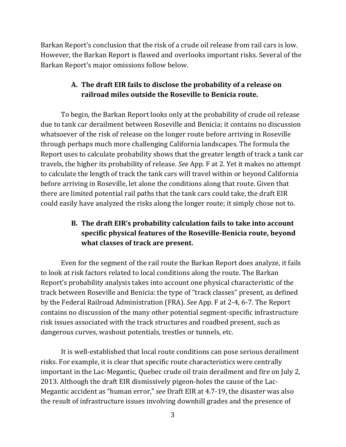Barkan Report's conclusion that the risk of a crude oil release from rail cars is low. However, the Barkan Report is flawed and overlooks important risks. Several of the Barkan Report's major omissions follow below.

# **A. The draft EIR fails to disclose the probability of a release on railroad miles outside the Roseville to Benicia route.**

To begin, the Barkan Report looks only at the probability of crude oil release due to tank car derailment between Roseville and Benicia; it contains no discussion whatsoever of the risk of release on the longer route before arriving in Roseville through perhaps much more challenging California landscapes. The formula the Report uses to calculate probability shows that the greater length of track a tank car travels, the higher its probability of release. *See* App. F at 2. Yet it makes no attempt to calculate the length of track the tank cars will travel within or beyond California before arriving in Roseville, let alone the conditions along that route. Given that there are limited potential rail paths that the tank cars could take, the draft EIR could easily have analyzed the risks along the longer route; it simply chose not to.

# **B. The draft EIR's probability calculation fails to take into account specific physical features of the Roseville-Benicia route, beyond what classes of track are present.**

Even for the segment of the rail route the Barkan Report does analyze, it fails to look at risk factors related to local conditions along the route. The Barkan Report's probability analysis takes into account one physical characteristic of the track between Roseville and Benicia: the type of "track classes" present, as defined by the Federal Railroad Administration (FRA). *See* App. F at 2-4, 6-7. The Report contains no discussion of the many other potential segment-specific infrastructure risk issues associated with the track structures and roadbed present, such as dangerous curves, washout potentials, trestles or tunnels, etc.

It is well-established that local route conditions can pose serious derailment risks. For example, it is clear that specific route characteristics were centrally important in the Lac-Megantic, Quebec crude oil train derailment and fire on July 2, 2013. Although the draft EIR dismissively pigeon-holes the cause of the Lac-Megantic accident as "human error," *see* Draft EIR at 4.7-19, the disaster was also the result of infrastructure issues involving downhill grades and the presence of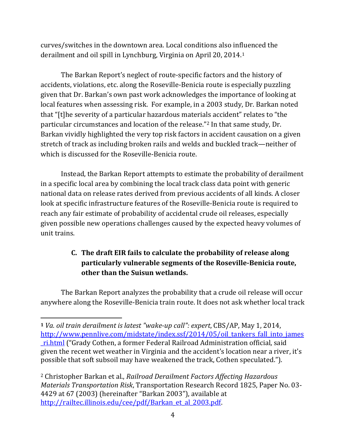curves/switches in the downtown area. Local conditions also influenced the derailment and oil spill in Lynchburg, Virginia on April 20, 2014.[1](#page-4-0)

The Barkan Report's neglect of route-specific factors and the history of accidents, violations, etc. along the Roseville-Benicia route is especially puzzling given that Dr. Barkan's own past work acknowledges the importance of looking at local features when assessing risk. For example, in a 2003 study, Dr. Barkan noted that "[t]he severity of a particular hazardous materials accident" relates to "the particular circumstances and location of the release."[2](#page-4-1) In that same study, Dr. Barkan vividly highlighted the very top risk factors in accident causation on a given stretch of track as including broken rails and welds and buckled track—neither of which is discussed for the Roseville-Benicia route.

Instead, the Barkan Report attempts to estimate the probability of derailment in a specific local area by combining the local track class data point with generic national data on release rates derived from previous accidents of all kinds. A closer look at specific infrastructure features of the Roseville-Benicia route is required to reach any fair estimate of probability of accidental crude oil releases, especially given possible new operations challenges caused by the expected heavy volumes of unit trains.

# **C. The draft EIR fails to calculate the probability of release along particularly vulnerable segments of the Roseville-Benicia route, other than the Suisun wetlands.**

The Barkan Report analyzes the probability that a crude oil release will occur anywhere along the Roseville-Benicia train route. It does not ask whether local track

 $\overline{\phantom{a}}$ 

<span id="page-4-0"></span>**<sup>1</sup>** *Va. oil train derailment is latest "wake-up call": expert*, CBS/AP, May 1, 2014, [http://www.pennlive.com/midstate/index.ssf/2014/05/oil\\_tankers\\_fall\\_into\\_james](http://www.pennlive.com/midstate/index.ssf/2014/05/oil_tankers_fall_into_james_ri.html) [\\_ri.html](http://www.pennlive.com/midstate/index.ssf/2014/05/oil_tankers_fall_into_james_ri.html) ("Grady Cothen, a former Federal Railroad Administration official, said given the recent wet weather in Virginia and the accident's location near a river, it's possible that soft subsoil may have weakened the track, Cothen speculated.").

<span id="page-4-1"></span><sup>2</sup> Christopher Barkan et al., *Railroad Derailment Factors Affecting Hazardous Materials Transportation Risk*, Transportation Research Record 1825, Paper No. 03- 4429 at 67 (2003) (hereinafter "Barkan 2003"), available at [http://railtec.illinois.edu/cee/pdf/Barkan\\_et\\_al\\_2003.pdf.](http://railtec.illinois.edu/cee/pdf/Barkan_et_al_2003.pdf)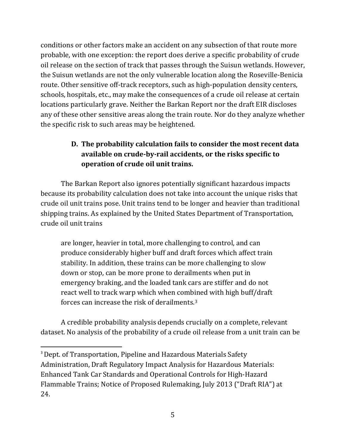conditions or other factors make an accident on any subsection of that route more probable, with one exception: the report does derive a specific probability of crude oil release on the section of track that passes through the Suisun wetlands. However, the Suisun wetlands are not the only vulnerable location along the Roseville-Benicia route. Other sensitive off-track receptors, such as high-population density centers, schools, hospitals, etc., may make the consequences of a crude oil release at certain locations particularly grave. Neither the Barkan Report nor the draft EIR discloses any of these other sensitive areas along the train route. Nor do they analyze whether the specific risk to such areas may be heightened.

# **D. The probability calculation fails to consider the most recent data available on crude-by-rail accidents, or the risks specific to operation of crude oil unit trains.**

The Barkan Report also ignores potentially significant hazardous impacts because its probability calculation does not take into account the unique risks that crude oil unit trains pose. Unit trains tend to be longer and heavier than traditional shipping trains. As explained by the United States Department of Transportation, crude oil unit trains

are longer, heavier in total, more challenging to control, and can produce considerably higher buff and draft forces which affect train stability. In addition, these trains can be more challenging to slow down or stop, can be more prone to derailments when put in emergency braking, and the loaded tank cars are stiffer and do not react well to track warp which when combined with high buff/draft forces can increase the risk of derailments.[3](#page-5-0)

A credible probability analysis depends crucially on a complete, relevant dataset. No analysis of the probability of a crude oil release from a unit train can be

<span id="page-5-0"></span><sup>3</sup> Dept. of Transportation, Pipeline and Hazardous Materials Safety Administration, Draft Regulatory Impact Analysis for Hazardous Materials: Enhanced Tank Car Standards and Operational Controls for High-Hazard Flammable Trains; Notice of Proposed Rulemaking, July 2013 ("Draft RIA") at 24.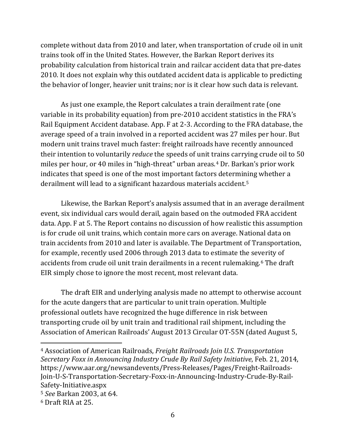complete without data from 2010 and later, when transportation of crude oil in unit trains took off in the United States. However, the Barkan Report derives its probability calculation from historical train and railcar accident data that pre-dates 2010. It does not explain why this outdated accident data is applicable to predicting the behavior of longer, heavier unit trains; nor is it clear how such data is relevant.

As just one example, the Report calculates a train derailment rate (one variable in its probability equation) from pre-2010 accident statistics in the FRA's Rail Equipment Accident database. App. F at 2-3. According to the FRA database, the average speed of a train involved in a reported accident was 27 miles per hour. But modern unit trains travel much faster: freight railroads have recently announced their intention to voluntarily *reduce* the speeds of unit trains carrying crude oil to 50 miles per hour, or 40 miles in "high-threat" urban areas.[4](#page-6-0) Dr. Barkan's prior work indicates that speed is one of the most important factors determi[ni](#page-6-1)ng whether a derailment will lead to a significant hazardous materials accident.5

Likewise, the Barkan Report's analysis assumed that in an average derailment event, six individual cars would derail, again based on the outmoded FRA accident data. App. F at 5. The Report contains no discussion of how realistic this assumption is for crude oil unit trains, which contain more cars on average. National data on train accidents from 2010 and later is available. The Department of Transportation, for example, recently used 2006 through 2013 data to estimate the severity of accidents from crude oil unit train derailments in a recent rulemaking.<sup>[6](#page-6-2)</sup> The draft EIR simply chose to ignore the most recent, most relevant data.

The draft EIR and underlying analysis made no attempt to otherwise account for the acute dangers that are particular to unit train operation. Multiple professional outlets have recognized the huge difference in risk between transporting crude oil by unit train and traditional rail shipment, including the Association of American Railroads' August 2013 Circular OT-55N (dated August 5,

l

<span id="page-6-0"></span><sup>4</sup> Association of American Railroads, *Freight Railroads Join U.S. Transportation Secretary Foxx in Announcing Industry Crude By Rail Safety Initiative*, Feb. 21, 2014, https://www.aar.org/newsandevents/Press-Releases/Pages/Freight-Railroads-Join-U-S-Transportation-Secretary-Foxx-in-Announcing-Industry-Crude-By-Rail-Safety-Initiative.aspx

<span id="page-6-1"></span><sup>5</sup> *See* Barkan 2003, at 64.

<span id="page-6-2"></span><sup>6</sup> Draft RIA at 25.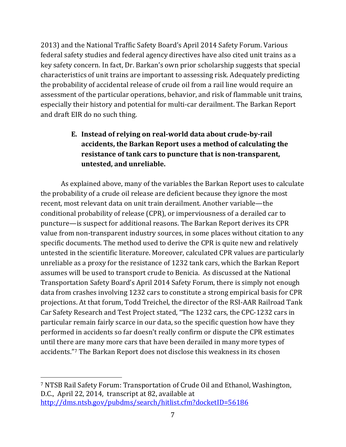2013) and the National Traffic Safety Board's April 2014 Safety Forum. Various federal safety studies and federal agency directives have also cited unit trains as a key safety concern. In fact, Dr. Barkan's own prior scholarship suggests that special characteristics of unit trains are important to assessing risk. Adequately predicting the probability of accidental release of crude oil from a rail line would require an assessment of the particular operations, behavior, and risk of flammable unit trains, especially their history and potential for multi-car derailment. The Barkan Report and draft EIR do no such thing.

# **E. Instead of relying on real-world data about crude-by-rail accidents, the Barkan Report uses a method of calculating the resistance of tank cars to puncture that is non-transparent, untested, and unreliable.**

As explained above, many of the variables the Barkan Report uses to calculate the probability of a crude oil release are deficient because they ignore the most recent, most relevant data on unit train derailment. Another variable—the conditional probability of release (CPR), or imperviousness of a derailed car to puncture—is suspect for additional reasons. The Barkan Report derives its CPR value from non-transparent industry sources, in some places without citation to any specific documents. The method used to derive the CPR is quite new and relatively untested in the scientific literature. Moreover, calculated CPR values are particularly unreliable as a proxy for the resistance of 1232 tank cars, which the Barkan Report assumes will be used to transport crude to Benicia. As discussed at the National Transportation Safety Board's April 2014 Safety Forum, there is simply not enough data from crashes involving 1232 cars to constitute a strong empirical basis for CPR projections. At that forum, Todd Treichel, the director of the RSI-AAR Railroad Tank Car Safety Research and Test Project stated, "The 1232 cars, the CPC-1232 cars in particular remain fairly scarce in our data, so the specific question how have they performed in accidents so far doesn't really confirm or dispute the CPR estimates until there are many more cars that have been derailed in many more types of accidents."[7](#page-7-0) The Barkan Report does not disclose this weakness in its chosen

 $\overline{\phantom{a}}$ 

<span id="page-7-0"></span><sup>7</sup> NTSB Rail Safety Forum: Transportation of Crude Oil and Ethanol, Washington, D.C., April 22, 2014, transcript at 82, available at <http://dms.ntsb.gov/pubdms/search/hitlist.cfm?docketID=56186>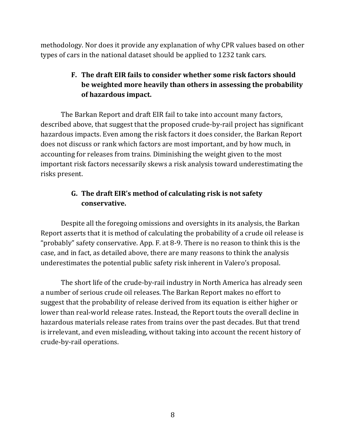methodology. Nor does it provide any explanation of why CPR values based on other types of cars in the national dataset should be applied to 1232 tank cars.

# **F. The draft EIR fails to consider whether some risk factors should be weighted more heavily than others in assessing the probability of hazardous impact.**

The Barkan Report and draft EIR fail to take into account many factors, described above, that suggest that the proposed crude-by-rail project has significant hazardous impacts. Even among the risk factors it does consider, the Barkan Report does not discuss or rank which factors are most important, and by how much, in accounting for releases from trains. Diminishing the weight given to the most important risk factors necessarily skews a risk analysis toward underestimating the risks present.

# **G. The draft EIR's method of calculating risk is not safety conservative.**

Despite all the foregoing omissions and oversights in its analysis, the Barkan Report asserts that it is method of calculating the probability of a crude oil release is "probably" safety conservative. App. F. at 8-9. There is no reason to think this is the case, and in fact, as detailed above, there are many reasons to think the analysis underestimates the potential public safety risk inherent in Valero's proposal.

The short life of the crude-by-rail industry in North America has already seen a number of serious crude oil releases. The Barkan Report makes no effort to suggest that the probability of release derived from its equation is either higher or lower than real-world release rates. Instead, the Report touts the overall decline in hazardous materials release rates from trains over the past decades. But that trend is irrelevant, and even misleading, without taking into account the recent history of crude-by-rail operations.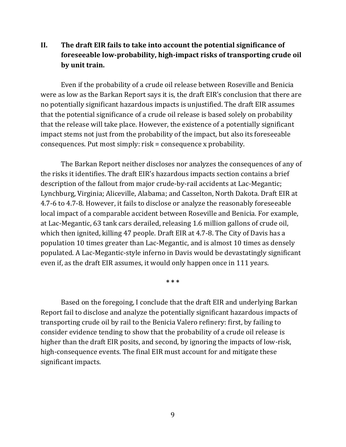## **II. The draft EIR fails to take into account the potential significance of foreseeable low-probability, high-impact risks of transporting crude oil by unit train.**

Even if the probability of a crude oil release between Roseville and Benicia were as low as the Barkan Report says it is, the draft EIR's conclusion that there are no potentially significant hazardous impacts is unjustified. The draft EIR assumes that the potential significance of a crude oil release is based solely on probability that the release will take place. However, the existence of a potentially significant impact stems not just from the probability of the impact, but also its foreseeable consequences. Put most simply: risk = consequence x probability.

The Barkan Report neither discloses nor analyzes the consequences of any of the risks it identifies. The draft EIR's hazardous impacts section contains a brief description of the fallout from major crude-by-rail accidents at Lac-Megantic; Lynchburg, Virginia; Aliceville, Alabama; and Casselton, North Dakota. Draft EIR at 4.7-6 to 4.7-8. However, it fails to disclose or analyze the reasonably foreseeable local impact of a comparable accident between Roseville and Benicia. For example, at Lac-Megantic, 63 tank cars derailed, releasing 1.6 million gallons of crude oil, which then ignited, killing 47 people. Draft EIR at 4.7-8. The City of Davis has a population 10 times greater than Lac-Megantic, and is almost 10 times as densely populated. A Lac-Megantic-style inferno in Davis would be devastatingly significant even if, as the draft EIR assumes, it would only happen once in 111 years.

**\* \* \***

Based on the foregoing, I conclude that the draft EIR and underlying Barkan Report fail to disclose and analyze the potentially significant hazardous impacts of transporting crude oil by rail to the Benicia Valero refinery: first, by failing to consider evidence tending to show that the probability of a crude oil release is higher than the draft EIR posits, and second, by ignoring the impacts of low-risk, high-consequence events. The final EIR must account for and mitigate these significant impacts.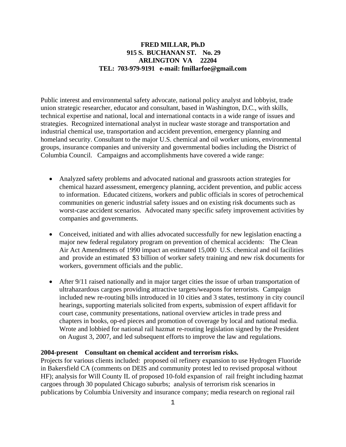#### **FRED MILLAR, Ph.D 915 S. BUCHANAN ST. No. 29 ARLINGTON VA 22204 TEL: 703-979-9191 e-mail: fmillarfoe@gmail.com**

Public interest and environmental safety advocate, national policy analyst and lobbyist, trade union strategic researcher, educator and consultant, based in Washington, D.C., with skills, technical expertise and national, local and international contacts in a wide range of issues and strategies. Recognized international analyst in nuclear waste storage and transportation and industrial chemical use, transportation and accident prevention, emergency planning and homeland security. Consultant to the major U.S. chemical and oil worker unions, environmental groups, insurance companies and university and governmental bodies including the District of Columbia Council. Campaigns and accomplishments have covered a wide range:

- Analyzed safety problems and advocated national and grassroots action strategies for chemical hazard assessment, emergency planning, accident prevention, and public access to information. Educated citizens, workers and public officials in scores of petrochemical communities on generic industrial safety issues and on existing risk documents such as worst-case accident scenarios. Advocated many specific safety improvement activities by companies and governments.
- Conceived, initiated and with allies advocated successfully for new legislation enacting a major new federal regulatory program on prevention of chemical accidents: The Clean Air Act Amendments of 1990 impact an estimated 15,000 U.S. chemical and oil facilities and provide an estimated \$3 billion of worker safety training and new risk documents for workers, government officials and the public.
- After 9/11 raised nationally and in major target cities the issue of urban transportation of ultrahazardous cargoes providing attractive targets/weapons for terrorists. Campaign included new re-routing bills introduced in 10 cities and 3 states, testimony in city council hearings, supporting materials solicited from experts, submission of expert affidavit for court case, community presentations, national overview articles in trade press and chapters in books, op-ed pieces and promotion of coverage by local and national media. Wrote and lobbied for national rail hazmat re-routing legislation signed by the President on August 3, 2007, and led subsequent efforts to improve the law and regulations.

#### **2004-present Consultant on chemical accident and terrorism risks.**

Projects for various clients included: proposed oil refinery expansion to use Hydrogen Fluoride in Bakersfield CA (comments on DEIS and community protest led to revised proposal without HF); analysis for Will County IL of proposed 10-fold expansion of rail freight including hazmat cargoes through 30 populated Chicago suburbs; analysis of terrorism risk scenarios in publications by Columbia University and insurance company; media research on regional rail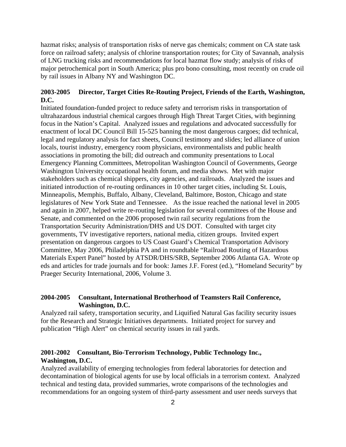hazmat risks; analysis of transportation risks of nerve gas chemicals; comment on CA state task force on railroad safety; analysis of chlorine transportation routes; for City of Savannah, analysis of LNG trucking risks and recommendations for local hazmat flow study; analysis of risks of major petrochemical port in South America; plus pro bono consulting, most recently on crude oil by rail issues in Albany NY and Washington DC.

#### **2003-2005 Director, Target Cities Re-Routing Project, Friends of the Earth, Washington, D.C.**

Initiated foundation-funded project to reduce safety and terrorism risks in transportation of ultrahazardous industrial chemical cargoes through High Threat Target Cities, with beginning focus in the Nation's Capital. Analyzed issues and regulations and advocated successfully for enactment of local DC Council Bill 15-525 banning the most dangerous cargoes; did technical, legal and regulatory analysis for fact sheets, Council testimony and slides; led alliance of union locals, tourist industry, emergency room physicians, environmentalists and public health associations in promoting the bill; did outreach and community presentations to Local Emergency Planning Committees, Metropolitan Washington Council of Governments, George Washington University occupational health forum, and media shows. Met with major stakeholders such as chemical shippers, city agencies, and railroads. Analyzed the issues and initiated introduction of re-routing ordinances in 10 other target cities, including St. Louis, Minneapolis, Memphis, Buffalo, Albany, Cleveland, Baltimore, Boston, Chicago and state legislatures of New York State and Tennessee. As the issue reached the national level in 2005 and again in 2007, helped write re-routing legislation for several committees of the House and Senate, and commented on the 2006 proposed twin rail security regulations from the Transportation Security Administration/DHS and US DOT. Consulted with target city governments, TV investigative reporters, national media, citizen groups. Invited expert presentation on dangerous cargoes to US Coast Guard's Chemical Transportation Advisory Committee, May 2006, Philadelphia PA and in roundtable "Railroad Routing of Hazardous Materials Expert Panel" hosted by ATSDR/DHS/SRB, September 2006 Atlanta GA. Wrote op eds and articles for trade journals and for book: James J.F. Forest (ed.), "Homeland Security" by Praeger Security International, 2006, Volume 3.

#### **2004-2005 Consultant, International Brotherhood of Teamsters Rail Conference, Washington, D.C.**

Analyzed rail safety, transportation security, and Liquified Natural Gas facility security issues for the Research and Strategic Initiatives departments. Initiated project for survey and publication "High Alert" on chemical security issues in rail yards.

#### **2001-2002 Consultant, Bio-Terrorism Technology, Public Technology Inc., Washington, D.C.**

Analyzed availability of emerging technologies from federal laboratories for detection and decontamination of biological agents for use by local officials in a terrorism context. Analyzed technical and testing data, provided summaries, wrote comparisons of the technologies and recommendations for an ongoing system of third-party assessment and user needs surveys that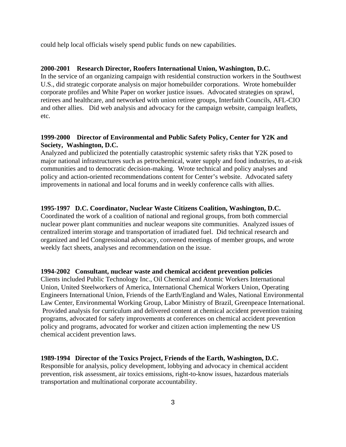could help local officials wisely spend public funds on new capabilities.

#### **2000-2001 Research Director, Roofers International Union, Washington, D.C.**

In the service of an organizing campaign with residential construction workers in the Southwest U.S., did strategic corporate analysis on major homebuilder corporations. Wrote homebuilder corporate profiles and White Paper on worker justice issues. Advocated strategies on sprawl, retirees and healthcare, and networked with union retiree groups, Interfaith Councils, AFL-CIO and other allies. Did web analysis and advocacy for the campaign website, campaign leaflets, etc.

#### **1999-2000 Director of Environmental and Public Safety Policy, Center for Y2K and Society, Washington, D.C.**

Analyzed and publicized the potentially catastrophic systemic safety risks that Y2K posed to major national infrastructures such as petrochemical, water supply and food industries, to at-risk communities and to democratic decision-making. Wrote technical and policy analyses and policy and action-oriented recommendations content for Center's website. Advocated safety improvements in national and local forums and in weekly conference calls with allies.

#### **1995-1997 D.C. Coordinator, Nuclear Waste Citizens Coalition, Washington, D.C.**

Coordinated the work of a coalition of national and regional groups, from both commercial nuclear power plant communities and nuclear weapons site communities. Analyzed issues of centralized interim storage and transportation of irradiated fuel. Did technical research and organized and led Congressional advocacy, convened meetings of member groups, and wrote weekly fact sheets, analyses and recommendation on the issue.

#### **1994-2002 Consultant, nuclear waste and chemical accident prevention policies**

Clients included Public Technology Inc., Oil Chemical and Atomic Workers International Union, United Steelworkers of America, International Chemical Workers Union, Operating Engineers International Union, Friends of the Earth/England and Wales, National Environmental Law Center, Environmental Working Group, Labor Ministry of Brazil, Greenpeace International. Provided analysis for curriculum and delivered content at chemical accident prevention training programs, advocated for safety improvements at conferences on chemical accident prevention policy and programs, advocated for worker and citizen action implementing the new US chemical accident prevention laws.

**1989-1994 Director of the Toxics Project, Friends of the Earth, Washington, D.C.**  Responsible for analysis, policy development, lobbying and advocacy in chemical accident prevention, risk assessment, air toxics emissions, right-to-know issues, hazardous materials transportation and multinational corporate accountability.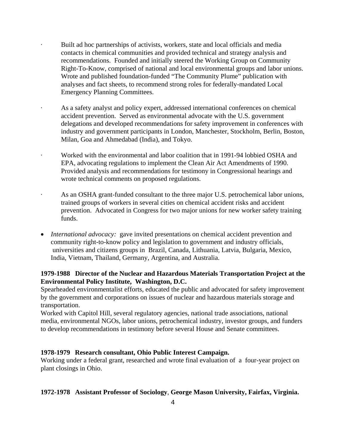- Built ad hoc partnerships of activists, workers, state and local officials and media contacts in chemical communities and provided technical and strategy analysis and recommendations. Founded and initially steered the Working Group on Community Right-To-Know, comprised of national and local environmental groups and labor unions. Wrote and published foundation-funded "The Community Plume" publication with analyses and fact sheets, to recommend strong roles for federally-mandated Local Emergency Planning Committees.
- As a safety analyst and policy expert, addressed international conferences on chemical accident prevention. Served as environmental advocate with the U.S. government delegations and developed recommendations for safety improvement in conferences with industry and government participants in London, Manchester, Stockholm, Berlin, Boston, Milan, Goa and Ahmedabad (India), and Tokyo.
- · Worked with the environmental and labor coalition that in 1991-94 lobbied OSHA and EPA, advocating regulations to implement the Clean Air Act Amendments of 1990. Provided analysis and recommendations for testimony in Congressional hearings and wrote technical comments on proposed regulations.
- As an OSHA grant-funded consultant to the three major U.S. petrochemical labor unions, trained groups of workers in several cities on chemical accident risks and accident prevention. Advocated in Congress for two major unions for new worker safety training funds.
- *International advocacy:* gave invited presentations on chemical accident prevention and community right-to-know policy and legislation to government and industry officials, universities and citizens groups in Brazil, Canada, Lithuania, Latvia, Bulgaria, Mexico, India, Vietnam, Thailand, Germany, Argentina, and Australia.

#### **1979-1988 Director of the Nuclear and Hazardous Materials Transportation Project at the Environmental Policy Institute, Washington, D.C.**

Spearheaded environmentalist efforts, educated the public and advocated for safety improvement by the government and corporations on issues of nuclear and hazardous materials storage and transportation.

Worked with Capitol Hill, several regulatory agencies, national trade associations, national media, environmental NGOs, labor unions, petrochemical industry, investor groups, and funders to develop recommendations in testimony before several House and Senate committees.

#### **1978-1979 Research consultant, Ohio Public Interest Campaign.**

Working under a federal grant, researched and wrote final evaluation of a four-year project on plant closings in Ohio.

#### **1972-1978 Assistant Professor of Sociology**, **George Mason University, Fairfax, Virginia.**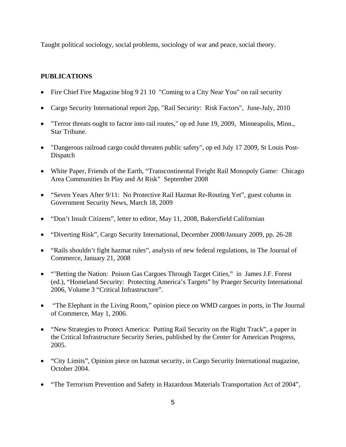Taught political sociology, social problems, sociology of war and peace, social theory.

#### **PUBLICATIONS**

- Fire Chief Fire Magazine blog 9 21 10 "Coming to a City Near You" on rail security
- Cargo Security International report 2pp, "Rail Security: Risk Factors", June-July, 2010
- "Terror threats ought to factor into rail routes," op ed June 19, 2009, Minneapolis, Minn., Star Tribune.
- "Dangerous railroad cargo could threaten public safety", op ed July 17 2009, St Louis Post-Dispatch
- White Paper, Friends of the Earth, "Transcontinental Freight Rail Monopoly Game: Chicago Area Communities In Play and At Risk" September 2008
- "Seven Years After 9/11: No Protective Rail Hazmat Re-Routing Yet", guest column in Government Security News, March 18, 2009
- "Don't Insult Citizens", letter to editor, May 11, 2008, Bakersfield Californian
- "Diverting Risk", Cargo Security International, December 2008/January 2009, pp. 26-28
- "Rails shouldn't fight hazmat rules", analysis of new federal regulations, in The Journal of Commerce, January 21, 2008
- "'Betting the Nation: Poison Gas Cargoes Through Target Cities," in James J.F. Forest (ed.), "Homeland Security: Protecting America's Targets" by Praeger Security International 2006, Volume 3 "Critical Infrastructure".
- "The Elephant in the Living Room," opinion piece on WMD cargoes in ports, in The Journal of Commerce, May 1, 2006.
- "New Strategies to Protect America: Putting Rail Security on the Right Track", a paper in the Critical Infrastructure Security Series, published by the Center for American Progress, 2005.
- "City Limits", Opinion piece on hazmat security, in Cargo Security International magazine, October 2004.
- "The Terrorism Prevention and Safety in Hazardous Materials Transportation Act of 2004",